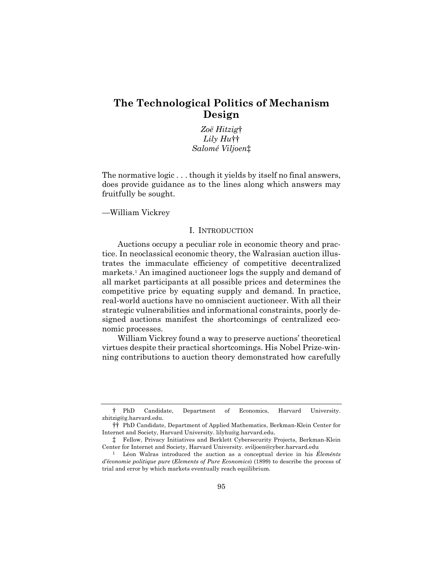# **The Technological Politics of Mechanism Design**

*Zoë Hitzig*† *Lily Hu*†† *Salomé Viljoen*‡

The normative logic . . . though it yields by itself no final answers, does provide guidance as to the lines along which answers may fruitfully be sought.

—William Vickrey

## I. INTRODUCTION

Auctions occupy a peculiar role in economic theory and practice. In neoclassical economic theory, the Walrasian auction illustrates the immaculate efficiency of competitive decentralized markets.1 An imagined auctioneer logs the supply and demand of all market participants at all possible prices and determines the competitive price by equating supply and demand. In practice, real-world auctions have no omniscient auctioneer. With all their strategic vulnerabilities and informational constraints, poorly designed auctions manifest the shortcomings of centralized economic processes.

William Vickrey found a way to preserve auctions' theoretical virtues despite their practical shortcomings. His Nobel Prize-winning contributions to auction theory demonstrated how carefully

<sup>†</sup> PhD Candidate, Department of Economics, Harvard University. zhitzig@g.harvard.edu.

<sup>††</sup> PhD Candidate, Department of Applied Mathematics, Berkman-Klein Center for Internet and Society, Harvard University. lilyhu@g.harvard.edu.

<sup>‡</sup> Fellow, Privacy Initiatives and Berklett Cybersecurity Projects, Berkman-Klein Center for Internet and Society, Harvard University. sviljoen@cyber.harvard.edu

<sup>1</sup> Léon Walras introduced the auction as a conceptual device in his *Éleménts d'économie politique pure* (*Elements of Pure Economics*) (1899) to describe the process of trial and error by which markets eventually reach equilibrium.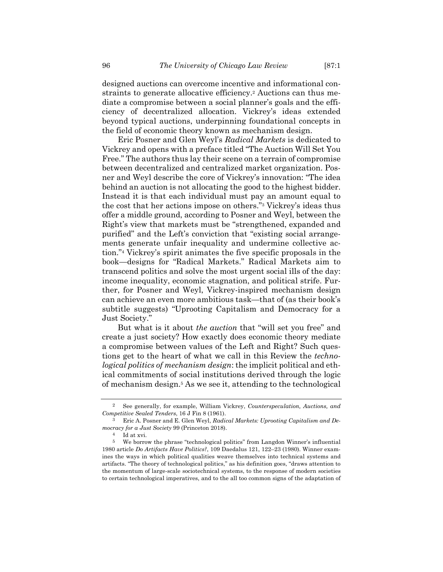designed auctions can overcome incentive and informational constraints to generate allocative efficiency.2 Auctions can thus mediate a compromise between a social planner's goals and the efficiency of decentralized allocation. Vickrey's ideas extended beyond typical auctions, underpinning foundational concepts in the field of economic theory known as mechanism design.

Eric Posner and Glen Weyl's *Radical Markets* is dedicated to Vickrey and opens with a preface titled "The Auction Will Set You Free." The authors thus lay their scene on a terrain of compromise between decentralized and centralized market organization. Posner and Weyl describe the core of Vickrey's innovation: "The idea behind an auction is not allocating the good to the highest bidder. Instead it is that each individual must pay an amount equal to the cost that her actions impose on others."3 Vickrey's ideas thus offer a middle ground, according to Posner and Weyl, between the Right's view that markets must be "strengthened, expanded and purified" and the Left's conviction that "existing social arrangements generate unfair inequality and undermine collective action."4 Vickrey's spirit animates the five specific proposals in the book—designs for "Radical Markets." Radical Markets aim to transcend politics and solve the most urgent social ills of the day: income inequality, economic stagnation, and political strife. Further, for Posner and Weyl, Vickrey-inspired mechanism design can achieve an even more ambitious task—that of (as their book's subtitle suggests) "Uprooting Capitalism and Democracy for a Just Society."

But what is it about *the auction* that "will set you free" and create a just society? How exactly does economic theory mediate a compromise between values of the Left and Right? Such questions get to the heart of what we call in this Review the *technological politics of mechanism design*: the implicit political and ethical commitments of social institutions derived through the logic of mechanism design.5 As we see it, attending to the technological

<sup>2</sup> See generally, for example, William Vickrey, *Counterspeculation, Auctions, and Competitive Sealed Tenders*, 16 J Fin 8 (1961).

<sup>3</sup> Eric A. Posner and E. Glen Weyl, *Radical Markets: Uprooting Capitalism and Democracy for a Just Society* 99 (Princeton 2018).

Id at xvi.

<sup>5</sup> We borrow the phrase "technological politics" from Langdon Winner's influential 1980 article *Do Artifacts Have Politics?*, 109 Daedalus 121, 122–23 (1980). Winner examines the ways in which political qualities weave themselves into technical systems and artifacts. "The theory of technological politics," as his definition goes, "draws attention to the momentum of large-scale sociotechnical systems, to the response of modern societies to certain technological imperatives, and to the all too common signs of the adaptation of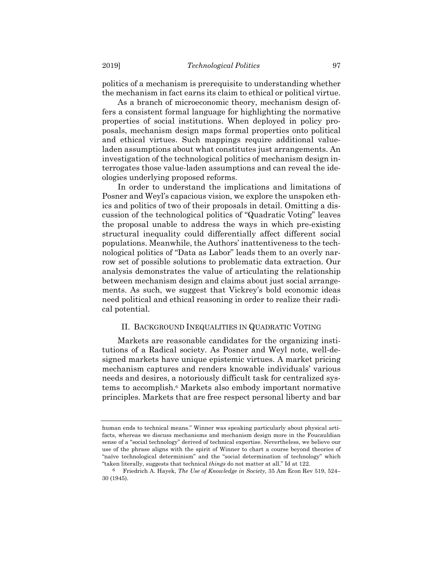politics of a mechanism is prerequisite to understanding whether the mechanism in fact earns its claim to ethical or political virtue.

As a branch of microeconomic theory, mechanism design offers a consistent formal language for highlighting the normative properties of social institutions. When deployed in policy proposals, mechanism design maps formal properties onto political and ethical virtues. Such mappings require additional valueladen assumptions about what constitutes just arrangements. An investigation of the technological politics of mechanism design interrogates those value-laden assumptions and can reveal the ideologies underlying proposed reforms.

In order to understand the implications and limitations of Posner and Weyl's capacious vision, we explore the unspoken ethics and politics of two of their proposals in detail. Omitting a discussion of the technological politics of "Quadratic Voting" leaves the proposal unable to address the ways in which pre-existing structural inequality could differentially affect different social populations. Meanwhile, the Authors' inattentiveness to the technological politics of "Data as Labor" leads them to an overly narrow set of possible solutions to problematic data extraction. Our analysis demonstrates the value of articulating the relationship between mechanism design and claims about just social arrangements. As such, we suggest that Vickrey's bold economic ideas need political and ethical reasoning in order to realize their radical potential.

### II. BACKGROUND INEQUALITIES IN QUADRATIC VOTING

Markets are reasonable candidates for the organizing institutions of a Radical society. As Posner and Weyl note, well-designed markets have unique epistemic virtues. A market pricing mechanism captures and renders knowable individuals' various needs and desires, a notoriously difficult task for centralized systems to accomplish.6 Markets also embody important normative principles. Markets that are free respect personal liberty and bar

human ends to technical means." Winner was speaking particularly about physical artifacts, whereas we discuss mechanisms and mechanism design more in the Foucauldian sense of a "social technology" derived of technical expertise. Nevertheless, we believe our use of the phrase aligns with the spirit of Winner to chart a course beyond theories of "naïve technological determinism" and the "social determination of technology" which "taken literally, suggests that technical *things* do not matter at all." Id at 122.

<sup>6</sup> Friedrich A. Hayek, *The Use of Knowledge in Society*, 35 Am Econ Rev 519, 524– 30 (1945).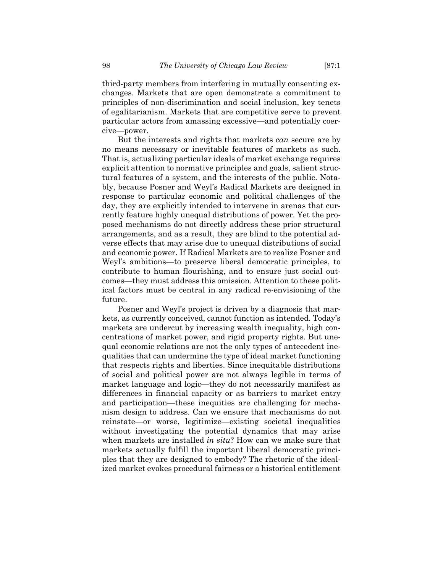third-party members from interfering in mutually consenting exchanges. Markets that are open demonstrate a commitment to principles of non-discrimination and social inclusion, key tenets of egalitarianism. Markets that are competitive serve to prevent particular actors from amassing excessive—and potentially coercive—power.

But the interests and rights that markets *can* secure are by no means necessary or inevitable features of markets as such. That is, actualizing particular ideals of market exchange requires explicit attention to normative principles and goals, salient structural features of a system, and the interests of the public. Notably, because Posner and Weyl's Radical Markets are designed in response to particular economic and political challenges of the day, they are explicitly intended to intervene in arenas that currently feature highly unequal distributions of power. Yet the proposed mechanisms do not directly address these prior structural arrangements, and as a result, they are blind to the potential adverse effects that may arise due to unequal distributions of social and economic power. If Radical Markets are to realize Posner and Weyl's ambitions—to preserve liberal democratic principles, to contribute to human flourishing, and to ensure just social outcomes—they must address this omission. Attention to these political factors must be central in any radical re-envisioning of the future.

Posner and Weyl's project is driven by a diagnosis that markets, as currently conceived, cannot function as intended. Today's markets are undercut by increasing wealth inequality, high concentrations of market power, and rigid property rights. But unequal economic relations are not the only types of antecedent inequalities that can undermine the type of ideal market functioning that respects rights and liberties. Since inequitable distributions of social and political power are not always legible in terms of market language and logic—they do not necessarily manifest as differences in financial capacity or as barriers to market entry and participation—these inequities are challenging for mechanism design to address. Can we ensure that mechanisms do not reinstate—or worse, legitimize—existing societal inequalities without investigating the potential dynamics that may arise when markets are installed *in situ*? How can we make sure that markets actually fulfill the important liberal democratic principles that they are designed to embody? The rhetoric of the idealized market evokes procedural fairness or a historical entitlement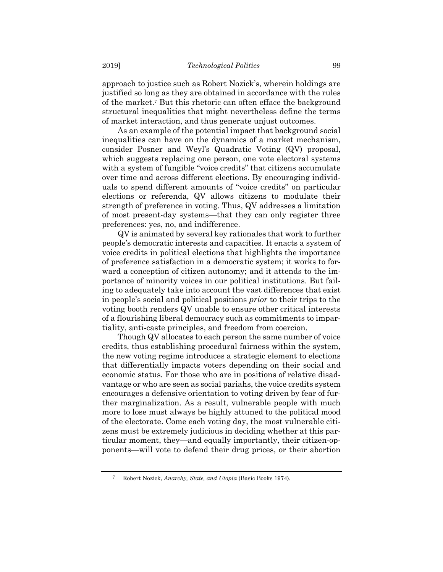approach to justice such as Robert Nozick's, wherein holdings are justified so long as they are obtained in accordance with the rules of the market.7 But this rhetoric can often efface the background structural inequalities that might nevertheless define the terms of market interaction, and thus generate unjust outcomes.

As an example of the potential impact that background social inequalities can have on the dynamics of a market mechanism, consider Posner and Weyl's Quadratic Voting (QV) proposal, which suggests replacing one person, one vote electoral systems with a system of fungible "voice credits" that citizens accumulate over time and across different elections. By encouraging individuals to spend different amounts of "voice credits" on particular elections or referenda, QV allows citizens to modulate their strength of preference in voting. Thus, QV addresses a limitation of most present-day systems—that they can only register three preferences: yes, no, and indifference.

QV is animated by several key rationales that work to further people's democratic interests and capacities. It enacts a system of voice credits in political elections that highlights the importance of preference satisfaction in a democratic system; it works to forward a conception of citizen autonomy; and it attends to the importance of minority voices in our political institutions. But failing to adequately take into account the vast differences that exist in people's social and political positions *prior* to their trips to the voting booth renders QV unable to ensure other critical interests of a flourishing liberal democracy such as commitments to impartiality, anti-caste principles, and freedom from coercion.

Though QV allocates to each person the same number of voice credits, thus establishing procedural fairness within the system, the new voting regime introduces a strategic element to elections that differentially impacts voters depending on their social and economic status. For those who are in positions of relative disadvantage or who are seen as social pariahs, the voice credits system encourages a defensive orientation to voting driven by fear of further marginalization. As a result, vulnerable people with much more to lose must always be highly attuned to the political mood of the electorate. Come each voting day, the most vulnerable citizens must be extremely judicious in deciding whether at this particular moment, they—and equally importantly, their citizen-opponents—will vote to defend their drug prices, or their abortion

<sup>7</sup> Robert Nozick, *Anarchy, State, and Utopia* (Basic Books 1974).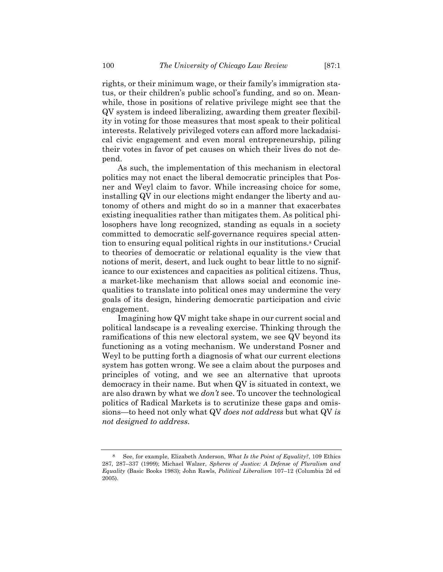rights, or their minimum wage, or their family's immigration status, or their children's public school's funding, and so on. Meanwhile, those in positions of relative privilege might see that the QV system is indeed liberalizing, awarding them greater flexibility in voting for those measures that most speak to their political interests. Relatively privileged voters can afford more lackadaisical civic engagement and even moral entrepreneurship, piling their votes in favor of pet causes on which their lives do not depend.

As such, the implementation of this mechanism in electoral politics may not enact the liberal democratic principles that Posner and Weyl claim to favor. While increasing choice for some, installing QV in our elections might endanger the liberty and autonomy of others and might do so in a manner that exacerbates existing inequalities rather than mitigates them. As political philosophers have long recognized, standing as equals in a society committed to democratic self-governance requires special attention to ensuring equal political rights in our institutions.8 Crucial to theories of democratic or relational equality is the view that notions of merit, desert, and luck ought to bear little to no significance to our existences and capacities as political citizens. Thus, a market-like mechanism that allows social and economic inequalities to translate into political ones may undermine the very goals of its design, hindering democratic participation and civic engagement.

Imagining how QV might take shape in our current social and political landscape is a revealing exercise. Thinking through the ramifications of this new electoral system, we see QV beyond its functioning as a voting mechanism. We understand Posner and Weyl to be putting forth a diagnosis of what our current elections system has gotten wrong. We see a claim about the purposes and principles of voting, and we see an alternative that uproots democracy in their name. But when QV is situated in context, we are also drawn by what we *don't* see. To uncover the technological politics of Radical Markets is to scrutinize these gaps and omissions—to heed not only what QV *does not address* but what QV *is not designed to address*.

<sup>8</sup> See, for example, Elizabeth Anderson, *What Is the Point of Equality?*, 109 Ethics 287, 287–337 (1999); Michael Walzer, *Spheres of Justice: A Defense of Pluralism and Equality* (Basic Books 1983); John Rawls, *Political Liberalism* 107–12 (Columbia 2d ed 2005).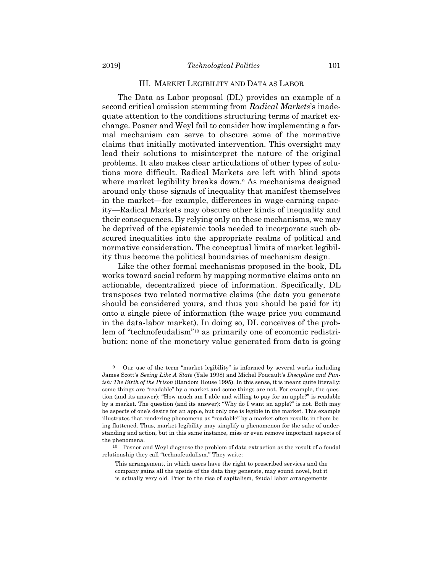#### III. MARKET LEGIBILITY AND DATA AS LABOR

The Data as Labor proposal (DL) provides an example of a second critical omission stemming from *Radical Markets*'s inadequate attention to the conditions structuring terms of market exchange. Posner and Weyl fail to consider how implementing a formal mechanism can serve to obscure some of the normative claims that initially motivated intervention. This oversight may lead their solutions to misinterpret the nature of the original problems. It also makes clear articulations of other types of solutions more difficult. Radical Markets are left with blind spots where market legibility breaks down.<sup>9</sup> As mechanisms designed around only those signals of inequality that manifest themselves in the market—for example, differences in wage-earning capacity—Radical Markets may obscure other kinds of inequality and their consequences. By relying only on these mechanisms, we may be deprived of the epistemic tools needed to incorporate such obscured inequalities into the appropriate realms of political and normative consideration. The conceptual limits of market legibility thus become the political boundaries of mechanism design.

Like the other formal mechanisms proposed in the book, DL works toward social reform by mapping normative claims onto an actionable, decentralized piece of information. Specifically, DL transposes two related normative claims (the data you generate should be considered yours, and thus you should be paid for it) onto a single piece of information (the wage price you command in the data-labor market). In doing so, DL conceives of the problem of "technofeudalism"10 as primarily one of economic redistribution: none of the monetary value generated from data is going

<sup>9</sup> Our use of the term "market legibility" is informed by several works including James Scott's *Seeing Like A State* (Yale 1998) and Michel Foucault's *Discipline and Punish: The Birth of the Prison* (Random House 1995). In this sense, it is meant quite literally: some things are "readable" by a market and some things are not. For example, the question (and its answer): "How much am I able and willing to pay for an apple?" is readable by a market. The question (and its answer): "Why do I want an apple?" is not. Both may be aspects of one's desire for an apple, but only one is legible in the market. This example illustrates that rendering phenomena as "readable" by a market often results in them being flattened. Thus, market legibility may simplify a phenomenon for the sake of understanding and action, but in this same instance, miss or even remove important aspects of the phenomena.

<sup>10</sup> Posner and Weyl diagnose the problem of data extraction as the result of a feudal relationship they call "technofeudalism." They write:

This arrangement, in which users have the right to prescribed services and the company gains all the upside of the data they generate, may sound novel, but it is actually very old. Prior to the rise of capitalism, feudal labor arrangements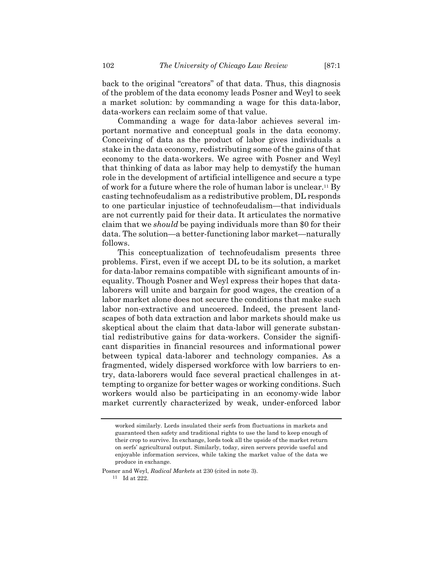back to the original "creators" of that data. Thus, this diagnosis of the problem of the data economy leads Posner and Weyl to seek a market solution: by commanding a wage for this data-labor, data-workers can reclaim some of that value.

Commanding a wage for data-labor achieves several important normative and conceptual goals in the data economy. Conceiving of data as the product of labor gives individuals a stake in the data economy, redistributing some of the gains of that economy to the data-workers. We agree with Posner and Weyl that thinking of data as labor may help to demystify the human role in the development of artificial intelligence and secure a type of work for a future where the role of human labor is unclear.11 By casting technofeudalism as a redistributive problem, DL responds to one particular injustice of technofeudalism—that individuals are not currently paid for their data. It articulates the normative claim that we *should* be paying individuals more than \$0 for their data. The solution—a better-functioning labor market—naturally follows.

This conceptualization of technofeudalism presents three problems. First, even if we accept DL to be its solution, a market for data-labor remains compatible with significant amounts of inequality. Though Posner and Weyl express their hopes that datalaborers will unite and bargain for good wages, the creation of a labor market alone does not secure the conditions that make such labor non-extractive and uncoerced. Indeed, the present landscapes of both data extraction and labor markets should make us skeptical about the claim that data-labor will generate substantial redistributive gains for data-workers. Consider the significant disparities in financial resources and informational power between typical data-laborer and technology companies. As a fragmented, widely dispersed workforce with low barriers to entry, data-laborers would face several practical challenges in attempting to organize for better wages or working conditions. Such workers would also be participating in an economy-wide labor market currently characterized by weak, under-enforced labor

Posner and Weyl, *Radical Markets* at 230 (cited in note 3).

11 Id at 222.

worked similarly. Lords insulated their serfs from fluctuations in markets and guaranteed then safety and traditional rights to use the land to keep enough of their crop to survive. In exchange, lords took all the upside of the market return on serfs' agricultural output. Similarly, today, siren servers provide useful and enjoyable information services, while taking the market value of the data we produce in exchange.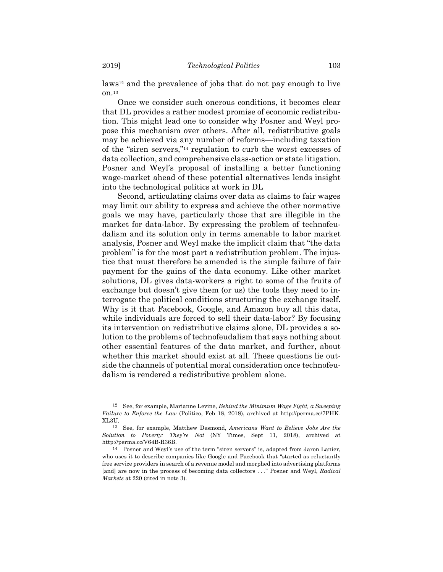laws12 and the prevalence of jobs that do not pay enough to live on.13

Once we consider such onerous conditions, it becomes clear that DL provides a rather modest promise of economic redistribution. This might lead one to consider why Posner and Weyl propose this mechanism over others. After all, redistributive goals may be achieved via any number of reforms—including taxation of the "siren servers,"14 regulation to curb the worst excesses of data collection, and comprehensive class-action or state litigation. Posner and Weyl's proposal of installing a better functioning wage-market ahead of these potential alternatives lends insight into the technological politics at work in DL

Second, articulating claims over data as claims to fair wages may limit our ability to express and achieve the other normative goals we may have, particularly those that are illegible in the market for data-labor. By expressing the problem of technofeudalism and its solution only in terms amenable to labor market analysis, Posner and Weyl make the implicit claim that "the data problem" is for the most part a redistribution problem. The injustice that must therefore be amended is the simple failure of fair payment for the gains of the data economy. Like other market solutions, DL gives data-workers a right to some of the fruits of exchange but doesn't give them (or us) the tools they need to interrogate the political conditions structuring the exchange itself. Why is it that Facebook, Google, and Amazon buy all this data, while individuals are forced to sell their data-labor? By focusing its intervention on redistributive claims alone, DL provides a solution to the problems of technofeudalism that says nothing about other essential features of the data market, and further, about whether this market should exist at all. These questions lie outside the channels of potential moral consideration once technofeudalism is rendered a redistributive problem alone.

<sup>12</sup> See, for example, Marianne Levine, *Behind the Minimum Wage Fight, a Sweeping Failure to Enforce the Law* (Politico, Feb 18, 2018), archived at http://perma.cc/7PHK-XL3U.

<sup>13</sup> See, for example, Matthew Desmond, *Americans Want to Believe Jobs Are the Solution to Poverty: They're Not* (NY Times, Sept 11, 2018), archived at http://perma.cc/V64B-R36B.

<sup>14</sup> Posner and Weyl's use of the term "siren servers" is, adapted from Jaron Lanier, who uses it to describe companies like Google and Facebook that "started as reluctantly free service providers in search of a revenue model and morphed into advertising platforms [and] are now in the process of becoming data collectors . . ." Posner and Weyl, *Radical Markets* at 220 (cited in note 3).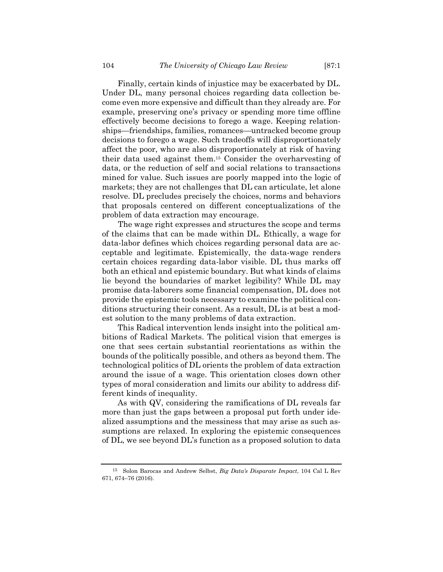Finally, certain kinds of injustice may be exacerbated by DL. Under DL, many personal choices regarding data collection become even more expensive and difficult than they already are. For example, preserving one's privacy or spending more time offline effectively become decisions to forego a wage. Keeping relationships—friendships, families, romances—untracked become group decisions to forego a wage. Such tradeoffs will disproportionately affect the poor, who are also disproportionately at risk of having their data used against them.15 Consider the overharvesting of data, or the reduction of self and social relations to transactions mined for value. Such issues are poorly mapped into the logic of markets; they are not challenges that DL can articulate, let alone resolve. DL precludes precisely the choices, norms and behaviors that proposals centered on different conceptualizations of the problem of data extraction may encourage.

 The wage right expresses and structures the scope and terms of the claims that can be made within DL. Ethically, a wage for data-labor defines which choices regarding personal data are acceptable and legitimate. Epistemically, the data-wage renders certain choices regarding data-labor visible. DL thus marks off both an ethical and epistemic boundary. But what kinds of claims lie beyond the boundaries of market legibility? While DL may promise data-laborers some financial compensation, DL does not provide the epistemic tools necessary to examine the political conditions structuring their consent. As a result, DL is at best a modest solution to the many problems of data extraction.

This Radical intervention lends insight into the political ambitions of Radical Markets. The political vision that emerges is one that sees certain substantial reorientations as within the bounds of the politically possible, and others as beyond them. The technological politics of DL orients the problem of data extraction around the issue of a wage. This orientation closes down other types of moral consideration and limits our ability to address different kinds of inequality.

As with QV, considering the ramifications of DL reveals far more than just the gaps between a proposal put forth under idealized assumptions and the messiness that may arise as such assumptions are relaxed. In exploring the epistemic consequences of DL, we see beyond DL's function as a proposed solution to data

<sup>15</sup> Solon Barocas and Andrew Selbst, *Big Data's Disparate Impact*, 104 Cal L Rev 671, 674–76 (2016).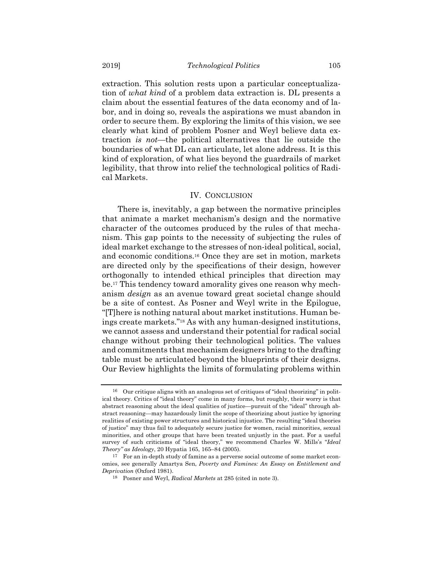extraction. This solution rests upon a particular conceptualization of *what kind* of a problem data extraction is. DL presents a claim about the essential features of the data economy and of labor, and in doing so, reveals the aspirations we must abandon in order to secure them. By exploring the limits of this vision, we see clearly what kind of problem Posner and Weyl believe data extraction *is not*—the political alternatives that lie outside the boundaries of what DL can articulate, let alone address. It is this kind of exploration, of what lies beyond the guardrails of market legibility, that throw into relief the technological politics of Radical Markets.

### IV. CONCLUSION

There is, inevitably, a gap between the normative principles that animate a market mechanism's design and the normative character of the outcomes produced by the rules of that mechanism. This gap points to the necessity of subjecting the rules of ideal market exchange to the stresses of non-ideal political, social, and economic conditions.16 Once they are set in motion, markets are directed only by the specifications of their design, however orthogonally to intended ethical principles that direction may be.17 This tendency toward amorality gives one reason why mechanism *design* as an avenue toward great societal change should be a site of contest. As Posner and Weyl write in the Epilogue, "[T]here is nothing natural about market institutions. Human beings create markets."18 As with any human-designed institutions, we cannot assess and understand their potential for radical social change without probing their technological politics. The values and commitments that mechanism designers bring to the drafting table must be articulated beyond the blueprints of their designs. Our Review highlights the limits of formulating problems within

<sup>16</sup> Our critique aligns with an analogous set of critiques of "ideal theorizing" in political theory. Critics of "ideal theory" come in many forms, but roughly, their worry is that abstract reasoning about the ideal qualities of justice—pursuit of the "ideal" through abstract reasoning—may hazardously limit the scope of theorizing about justice by ignoring realities of existing power structures and historical injustice. The resulting "ideal theories of justice" may thus fail to adequately secure justice for women, racial minorities, sexual minorities, and other groups that have been treated unjustly in the past. For a useful survey of such criticisms of "ideal theory," we recommend Charles W. Mills's "*Ideal Theory" as Ideology*, 20 Hypatia 165, 165–84 (2005).

 $^{17}$  For an in-depth study of famine as a perverse social outcome of some market economies, see generally Amartya Sen, *Poverty and Famines: An Essay on Entitlement and Deprivation* (Oxford 1981).

<sup>18</sup> Posner and Weyl, *Radical Markets* at 285 (cited in note 3).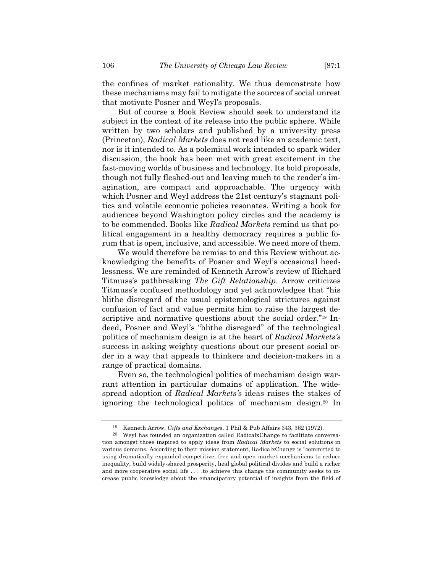the confines of market rationality. We thus demonstrate how these mechanisms may fail to mitigate the sources of social unrest that motivate Posner and Weyl's proposals.

But of course a Book Review should seek to understand its subject in the context of its release into the public sphere. While written by two scholars and published by a university press (Princeton), *Radical Markets* does not read like an academic text, nor is it intended to. As a polemical work intended to spark wider discussion, the book has been met with great excitement in the fast-moving worlds of business and technology. Its bold proposals, though not fully fleshed-out and leaving much to the reader's imagination, are compact and approachable. The urgency with which Posner and Weyl address the 21st century's stagnant politics and volatile economic policies resonates. Writing a book for audiences beyond Washington policy circles and the academy is to be commended. Books like *Radical Markets* remind us that political engagement in a healthy democracy requires a public forum that is open, inclusive, and accessible. We need more of them.

We would therefore be remiss to end this Review without acknowledging the benefits of Posner and Weyl's occasional heedlessness. We are reminded of Kenneth Arrow's review of Richard Titmuss's pathbreaking *The Gift Relationship*. Arrow criticizes Titmuss's confused methodology and yet acknowledges that "his blithe disregard of the usual epistemological strictures against confusion of fact and value permits him to raise the largest descriptive and normative questions about the social order."19 Indeed, Posner and Weyl's "blithe disregard" of the technological politics of mechanism design is at the heart of *Radical Markets's* success in asking weighty questions about our present social order in a way that appeals to thinkers and decision-makers in a range of practical domains.

Even so, the technological politics of mechanism design warrant attention in particular domains of application. The widespread adoption of *Radical Markets'*s ideas raises the stakes of ignoring the technological politics of mechanism design.20 In

<sup>19</sup> Kenneth Arrow, *Gifts and Exchanges*, 1 Phil & Pub Affairs 343, 362 (1972).

<sup>20</sup> Weyl has founded an organization called RadicalxChange to facilitate conversation amongst those inspired to apply ideas from *Radical Markets* to social solutions in various domains*.* According to their mission statement, RadicalxChange is "committed to using dramatically expanded competitive, free and open market mechanisms to reduce inequality, build widely-shared prosperity, heal global political divides and build a richer and more cooperative social life . . . .to achieve this change the community seeks to increase public knowledge about the emancipatory potential of insights from the field of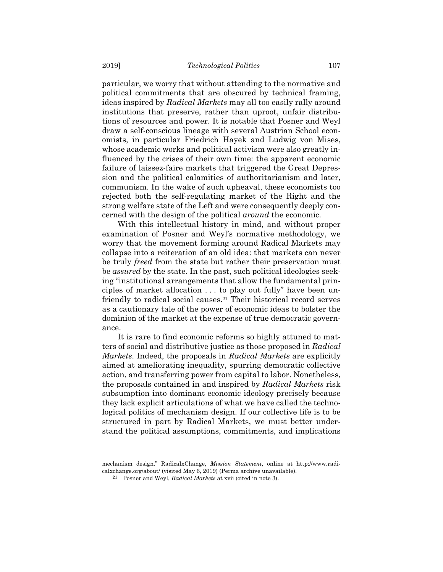particular, we worry that without attending to the normative and political commitments that are obscured by technical framing, ideas inspired by *Radical Markets* may all too easily rally around institutions that preserve, rather than uproot, unfair distributions of resources and power. It is notable that Posner and Weyl draw a self-conscious lineage with several Austrian School economists, in particular Friedrich Hayek and Ludwig von Mises, whose academic works and political activism were also greatly influenced by the crises of their own time: the apparent economic failure of laissez-faire markets that triggered the Great Depression and the political calamities of authoritarianism and later, communism. In the wake of such upheaval, these economists too rejected both the self-regulating market of the Right and the strong welfare state of the Left and were consequently deeply concerned with the design of the political *around* the economic.

With this intellectual history in mind, and without proper examination of Posner and Weyl's normative methodology, we worry that the movement forming around Radical Markets may collapse into a reiteration of an old idea: that markets can never be truly *freed* from the state but rather their preservation must be *assured* by the state. In the past, such political ideologies seeking "institutional arrangements that allow the fundamental principles of market allocation . . . to play out fully" have been unfriendly to radical social causes.21 Their historical record serves as a cautionary tale of the power of economic ideas to bolster the dominion of the market at the expense of true democratic governance.

It is rare to find economic reforms so highly attuned to matters of social and distributive justice as those proposed in *Radical Markets*. Indeed, the proposals in *Radical Markets* are explicitly aimed at ameliorating inequality, spurring democratic collective action, and transferring power from capital to labor. Nonetheless, the proposals contained in and inspired by *Radical Markets* risk subsumption into dominant economic ideology precisely because they lack explicit articulations of what we have called the technological politics of mechanism design. If our collective life is to be structured in part by Radical Markets, we must better understand the political assumptions, commitments, and implications

mechanism design." RadicalxChange, *Mission Statement*, online at http://www.radicalxchange.org/about/ (visited May 6, 2019) (Perma archive unavailable).

<sup>21</sup> Posner and Weyl, *Radical Markets* at xvii (cited in note 3).